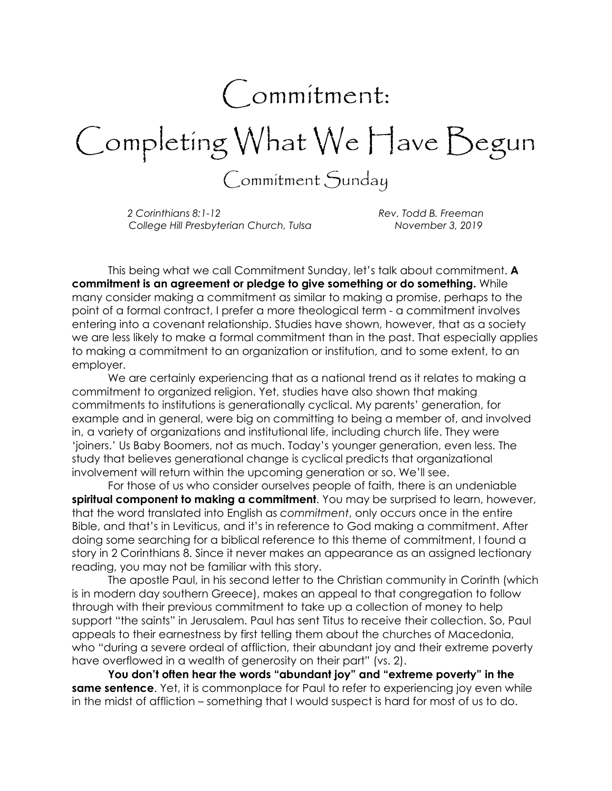## Commitment:

Completing What We Have Begun

Commitment Sunday

2 Corinthians 8:1-12 Corinthians 8:1-12 College Hill Presbyterian Church, Tulsa November 3, 2019

 This being what we call Commitment Sunday, let's talk about commitment. A commitment is an agreement or pledge to give something or do something. While many consider making a commitment as similar to making a promise, perhaps to the point of a formal contract, I prefer a more theological term - a commitment involves entering into a covenant relationship. Studies have shown, however, that as a society we are less likely to make a formal commitment than in the past. That especially applies to making a commitment to an organization or institution, and to some extent, to an employer.

 We are certainly experiencing that as a national trend as it relates to making a commitment to organized religion. Yet, studies have also shown that making commitments to institutions is generationally cyclical. My parents' generation, for example and in general, were big on committing to being a member of, and involved in, a variety of organizations and institutional life, including church life. They were 'joiners.' Us Baby Boomers, not as much. Today's younger generation, even less. The study that believes generational change is cyclical predicts that organizational involvement will return within the upcoming generation or so. We'll see.

For those of us who consider ourselves people of faith, there is an undeniable spiritual component to making a commitment. You may be surprised to learn, however, that the word translated into English as commitment, only occurs once in the entire Bible, and that's in Leviticus, and it's in reference to God making a commitment. After doing some searching for a biblical reference to this theme of commitment, I found a story in 2 Corinthians 8. Since it never makes an appearance as an assigned lectionary reading, you may not be familiar with this story.

The apostle Paul, in his second letter to the Christian community in Corinth (which is in modern day southern Greece), makes an appeal to that congregation to follow through with their previous commitment to take up a collection of money to help support "the saints" in Jerusalem. Paul has sent Titus to receive their collection. So, Paul appeals to their earnestness by first telling them about the churches of Macedonia, who "during a severe ordeal of affliction, their abundant joy and their extreme poverty have overflowed in a wealth of generosity on their part" (vs. 2).

You don't often hear the words "abundant joy" and "extreme poverty" in the same sentence. Yet, it is commonplace for Paul to refer to experiencing joy even while in the midst of affliction – something that I would suspect is hard for most of us to do.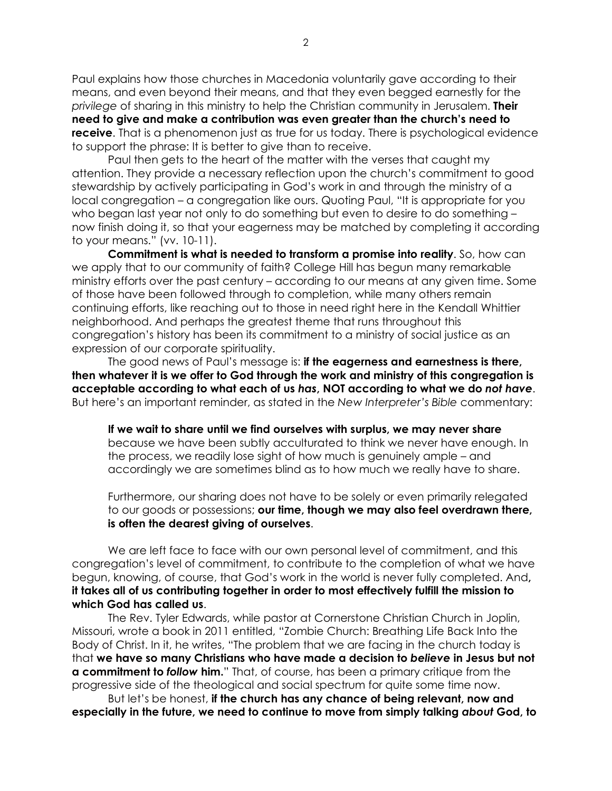Paul explains how those churches in Macedonia voluntarily gave according to their means, and even beyond their means, and that they even begged earnestly for the privilege of sharing in this ministry to help the Christian community in Jerusalem. **Their** need to give and make a contribution was even greater than the church's need to **receive.** That is a phenomenon just as true for us today. There is psychological evidence to support the phrase: It is better to give than to receive.

Paul then gets to the heart of the matter with the verses that caught my attention. They provide a necessary reflection upon the church's commitment to good stewardship by actively participating in God's work in and through the ministry of a local congregation – a congregation like ours. Quoting Paul, "It is appropriate for you who began last year not only to do something but even to desire to do something now finish doing it, so that your eagerness may be matched by completing it according to your means." (vv. 10-11).

Commitment is what is needed to transform a promise into reality. So, how can we apply that to our community of faith? College Hill has begun many remarkable ministry efforts over the past century – according to our means at any given time. Some of those have been followed through to completion, while many others remain continuing efforts, like reaching out to those in need right here in the Kendall Whittier neighborhood. And perhaps the greatest theme that runs throughout this congregation's history has been its commitment to a ministry of social justice as an expression of our corporate spirituality.

The good news of Paul's message is: if the eagerness and earnestness is there, then whatever it is we offer to God through the work and ministry of this congregation is acceptable according to what each of us has, NOT according to what we do not have. But here's an important reminder, as stated in the New Interpreter's Bible commentary:

If we wait to share until we find ourselves with surplus, we may never share because we have been subtly acculturated to think we never have enough. In the process, we readily lose sight of how much is genuinely ample – and accordingly we are sometimes blind as to how much we really have to share.

Furthermore, our sharing does not have to be solely or even primarily relegated to our goods or possessions; our time, though we may also feel overdrawn there, is often the dearest giving of ourselves.

We are left face to face with our own personal level of commitment, and this congregation's level of commitment, to contribute to the completion of what we have begun, knowing, of course, that God's work in the world is never fully completed. And, it takes all of us contributing together in order to most effectively fulfill the mission to which God has called us.

The Rev. Tyler Edwards, while pastor at Cornerstone Christian Church in Joplin, Missouri, wrote a book in 2011 entitled, "Zombie Church: Breathing Life Back Into the Body of Christ. In it, he writes, "The problem that we are facing in the church today is that we have so many Christians who have made a decision to believe in Jesus but not a commitment to follow him." That, of course, has been a primary critique from the progressive side of the theological and social spectrum for quite some time now.

But let's be honest, if the church has any chance of being relevant, now and especially in the future, we need to continue to move from simply talking about God, to